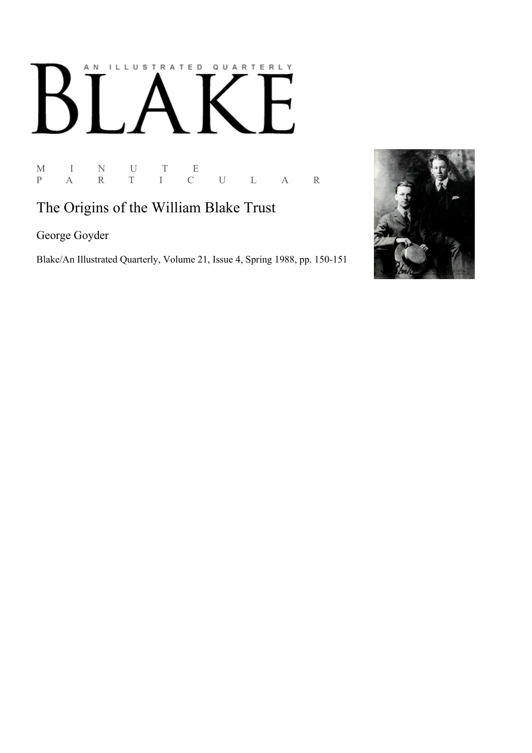# AN ILLUSTRATED QUARTERLY

 $\begin{array}{ccccccccc} \mathbf{M} & & \mathbf{I} & & \mathbf{N} & & \mathbf{U} & & \mathbf{T} & & \mathbf{E} \\ \mathbf{P} & & \mathbf{A} & & \mathbf{R} & & \mathbf{T} & & \mathbf{I} & & \mathbf{C} \end{array}$ P A R T I C U L A R

# The Origins of the William Blake Trust

George Goyder

Blake/An Illustrated Quarterly, Volume 21, Issue 4, Spring 1988, pp. 150-151

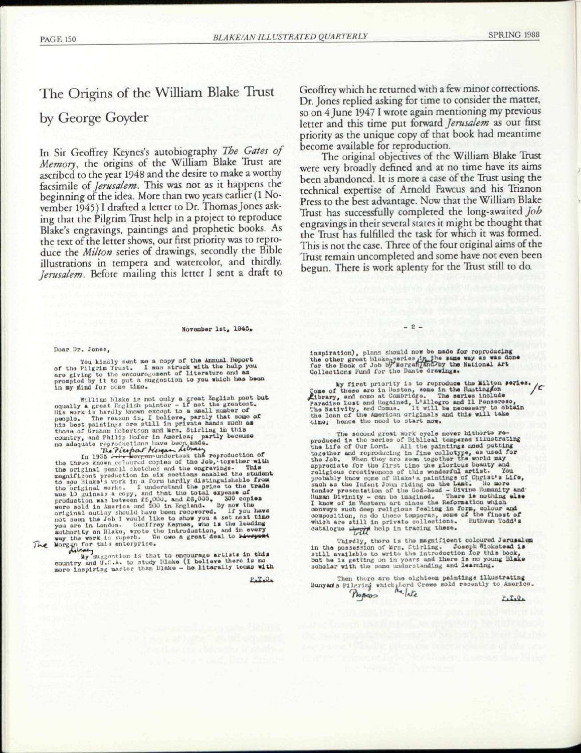# The Origins of the William Blake Trust

## by George Goyder

In Sir Geoffrey Keynes's autobiography *The Gates of Memory,* the origins of the William Blake Trust are ascribed to the year 1948 and the desire to make a worthy facsimile of *Jerusalem.* This was not as it happens the beginning of the idea. More than two years earlier (1 November 1945) I drafted a letter to Dr. Thomas Jones asking that the Pilgrim Trust help in a project to reproduce Blake's engravings, paintings and prophetic books. As the text of the letter shows, our first priority was to reproduce the *Milton* series of drawings, secondly the Bible illustrations in tempera and watercolor, and thirdly, *Jerusalem.* Before mailing this letter I sent a draft to

## November 1st,  $1945*$  - 2 -

#### Doar Dr. Jones,

You kindly sent me a copy of the Annual Report<br>of the Pilgrim Trust. I was struck with the halp you<br>are giving to the encouragement of literature and am<br>prompted by it to put a suggestion to you which has been<br>in my mind f

William Blake is not only a great English poet but<br>oqually a great English pather - if not the greatest.<br>His work is hardly known except to a small number of<br>people. The reason is, I believe, partly that some of<br>his best p

In 1935 Jeep and orter independent the production of<br>the three changes of the Job, together with<br>the original poncil sketches and the engravings- This<br>magnificont production in six sections enabled the student<br>to see Blake The Norgan for this entorprise.

Wy suggestion is that to encourage artists in this country and U.P.A. to study Blake (I believe there is no<br>more inspiring marter than Blake - he literally teems with

 $P_{a}I_{a}Q_{a}$ 

Geoffrey which he returned with a few minor corrections. Dr. Jones replied asking for time to consider the matter, so on 4 June 1947 I wrote again mentioning my previous letter and this time put forward *Jerusalem* as our first priority as the unique copy of that book had meantime become available for reproduction.

The original objectives of the William Blake Trust were very broadly defined and at no time have its aims been abandoned. It is more a case of the Trust using the technical expertise of Arnold Fawcus and his Trianon Press to the best advantage. Now that the William Blake Trust has successfully completed the long-awaited *Job*  engravings in their several states it might be thought that the Trust has fulfilled the task for which it was formed. This is not the case. Three of the four original aims of the Trust remain uncompleted and some have not even been begun. There is work aplenty for the Trust still to do.

inspiration), plans should now be made for reproducing<br>the other groat Blako<sub>n</sub>series in, the same way as was done<br>for the Book of Job by Morganian Dby the National Art<br>Collections fund for the Dante drawings.

My first priority is to reproduce the Milton series.<br>
Come of these are in boston, some in the Huntingson<br>
Paradise Loss are in the Huntingson<br>
Paradise Lost and Regained, L'Allegro and Il Pensoroso,<br>
The Nativity, and Com tlmo; hence tho nood to start now.

The socond great work cycle nover hitherto re-<br>produced is the series of Bibliotal temperas illustrating<br>the Life of Our Lord. All the paintings need putting<br>together and reproducing in fine collotype, as used for<br>the Job.

Thirdly, there is the magnificent coloured Jerusalem<br>in the possession of Mrs. Ctirling. Joseph Wickstead 1still available to write the introduction for this book,<br>but he is getting on in years and there is no young Blake<br>

Then thore are the eighteen paintings illustrating Bunyarts Pilering which Lord Crewe sold recently to America.<br>
Plogress Progress?

 $P.T.0.$